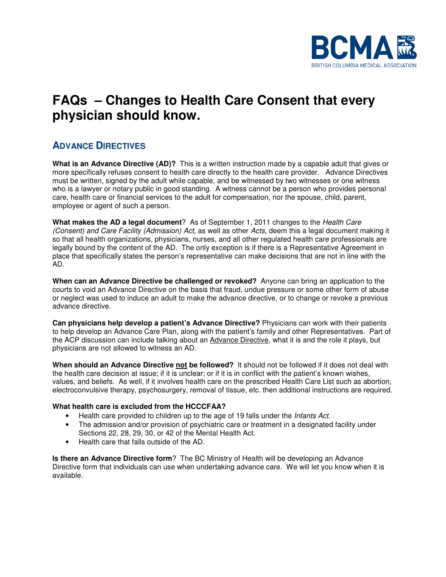

# **FAQs – Changes to Health Care Consent that every physician should know.**

#### **ADVANCE DIRECTIVES**

**What is an Advance Directive (AD)?** This is a written instruction made by a capable adult that gives or more specifically refuses consent to health care directly to the health care provider. Advance Directives must be written, signed by the adult while capable, and be witnessed by two witnesses or one witness who is a lawyer or notary public in good standing. A witness cannot be a person who provides personal care, health care or financial services to the adult for compensation, nor the spouse, child, parent, employee or agent of such a person.

**What makes the AD a legal document**? As of September 1, 2011 changes to the Health Care (Consent) and Care Facility (Admission) Act, as well as other Acts, deem this a legal document making it so that all health organizations, physicians, nurses, and all other regulated health care professionals are legally bound by the content of the AD. The only exception is if there is a Representative Agreement in place that specifically states the person's representative can make decisions that are not in line with the AD.

**When can an Advance Directive be challenged or revoked?** Anyone can bring an application to the courts to void an Advance Directive on the basis that fraud, undue pressure or some other form of abuse or neglect was used to induce an adult to make the advance directive, or to change or revoke a previous advance directive.

**Can physicians help develop a patient's Advance Directive?** Physicians can work with their patients to help develop an Advance Care Plan, along with the patient's family and other Representatives. Part of the ACP discussion can include talking about an Advance Directive, what it is and the role it plays, but physicians are not allowed to witness an AD.

**When should an Advance Directive not be followed?** It should not be followed if it does not deal with the health care decision at issue; if it is unclear; or if it is in conflict with the patient's known wishes, values, and beliefs. As well, if it involves health care on the prescribed Health Care List such as abortion, electroconvulsive therapy, psychosurgery, removal of tissue, etc. then additional instructions are required.

#### **What health care is excluded from the HCCCFAA?**

- Health care provided to children up to the age of 19 falls under the *Infants Act*.
- The admission and/or provision of psychiatric care or treatment in a designated facility under Sections 22, 28, 29, 30, or 42 of the Mental Health Act.
- Health care that falls outside of the AD.

**Is there an Advance Directive form**? The BC Ministry of Health will be developing an Advance Directive form that individuals can use when undertaking advance care. We will let you know when it is available.